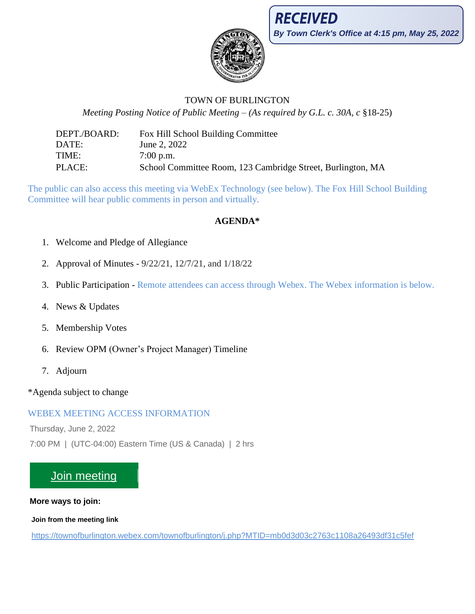

# TOWN OF BURLINGTON

*Meeting Posting Notice of Public Meeting – (As required by G.L. c. 30A, c* §18-25)

DEPT./BOARD: Fox Hill School Building Committee DATE: June 2, 2022 TIME: 7:00 p.m. PLACE: School Committee Room, 123 Cambridge Street, Burlington, MA

The public can also access this meeting via WebEx Technology (see below). The Fox Hill School Building Committee will hear public comments in person and virtually.

# **AGENDA\***

- 1. Welcome and Pledge of Allegiance
- 2. Approval of Minutes 9/22/21, 12/7/21, and 1/18/22
- 3. Public Participation Remote attendees can access through Webex. The Webex information is below.
- 4. News & Updates
- 5. Membership Votes
- 6. Review OPM (Owner's Project Manager) Timeline
- 7. Adjourn

\*Agenda subject to change

# WEBEX MEETING ACCESS INFORMATION

Thursday, June 2, 2022

7:00 PM | (UTC-04:00) Eastern Time (US & Canada) | 2 hrs

# [Join meeting](https://townofburlington.webex.com/townofburlington/j.php?MTID=mb0d3d03c2763c1108a26493df31c5fef)

## **More ways to join:**

**Join from the meeting link**

<https://townofburlington.webex.com/townofburlington/j.php?MTID=mb0d3d03c2763c1108a26493df31c5fef>